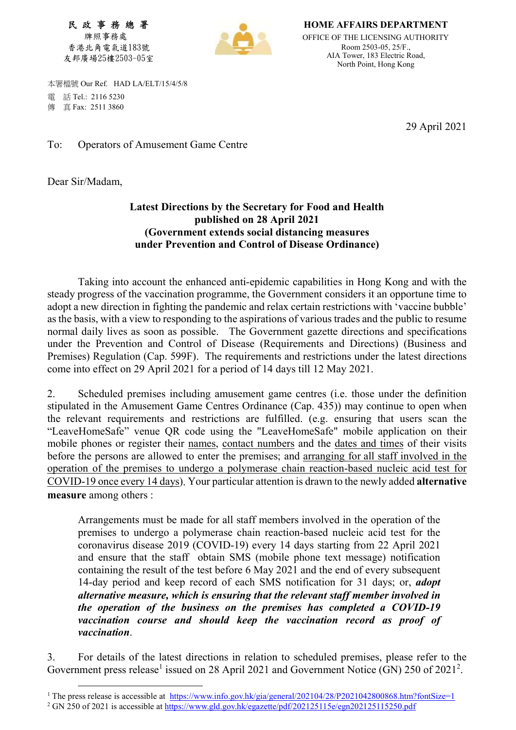民 政 事 務 總 署 牌照事務處 香港北角電氣道183號 友邦廣場25樓2503-05室



HOME AFFAIRS DEPARTMENT OFFICE OF THE LICENSING AUTHORITY Room 2503-05, 25/F., AIA Tower, 183 Electric Road, North Point, Hong Kong

 本署檔號 Our Ref. HAD LA/ELT/15/4/5/8 電 話 Tel.: 2116 5230 傳 真 Fax: 2511 3860

29 April 2021

To: Operators of Amusement Game Centre

Dear Sir/Madam,

-

## Latest Directions by the Secretary for Food and Health published on 28 April 2021 (Government extends social distancing measures under Prevention and Control of Disease Ordinance)

 Taking into account the enhanced anti-epidemic capabilities in Hong Kong and with the steady progress of the vaccination programme, the Government considers it an opportune time to adopt a new direction in fighting the pandemic and relax certain restrictions with 'vaccine bubble' as the basis, with a view to responding to the aspirations of various trades and the public to resume normal daily lives as soon as possible. The Government gazette directions and specifications under the Prevention and Control of Disease (Requirements and Directions) (Business and Premises) Regulation (Cap. 599F). The requirements and restrictions under the latest directions come into effect on 29 April 2021 for a period of 14 days till 12 May 2021.

2. Scheduled premises including amusement game centres (i.e. those under the definition stipulated in the Amusement Game Centres Ordinance (Cap. 435)) may continue to open when the relevant requirements and restrictions are fulfilled. (e.g. ensuring that users scan the "LeaveHomeSafe" venue QR code using the "LeaveHomeSafe" mobile application on their mobile phones or register their names, contact numbers and the dates and times of their visits before the persons are allowed to enter the premises; and arranging for all staff involved in the operation of the premises to undergo a polymerase chain reaction-based nucleic acid test for COVID-19 once every 14 days). Your particular attention is drawn to the newly added alternative measure among others :

Arrangements must be made for all staff members involved in the operation of the premises to undergo a polymerase chain reaction-based nucleic acid test for the coronavirus disease 2019 (COVID-19) every 14 days starting from 22 April 2021 and ensure that the staff obtain SMS (mobile phone text message) notification containing the result of the test before 6 May 2021 and the end of every subsequent 14-day period and keep record of each SMS notification for 31 days; or, *adopt* alternative measure, which is ensuring that the relevant staff member involved in the operation of the business on the premises has completed a COVID-19 vaccination course and should keep the vaccination record as proof of vaccination.

3. For details of the latest directions in relation to scheduled premises, please refer to the Government press release<sup>1</sup> issued on 28 April 2021 and Government Notice (GN) 250 of 2021<sup>2</sup>.

<sup>&</sup>lt;sup>1</sup> The press release is accessible at https://www.info.gov.hk/gia/general/202104/28/P2021042800868.htm?fontSize=1

<sup>&</sup>lt;sup>2</sup> GN 250 of 2021 is accessible at https://www.gld.gov.hk/egazette/pdf/202125115e/egn202125115250.pdf